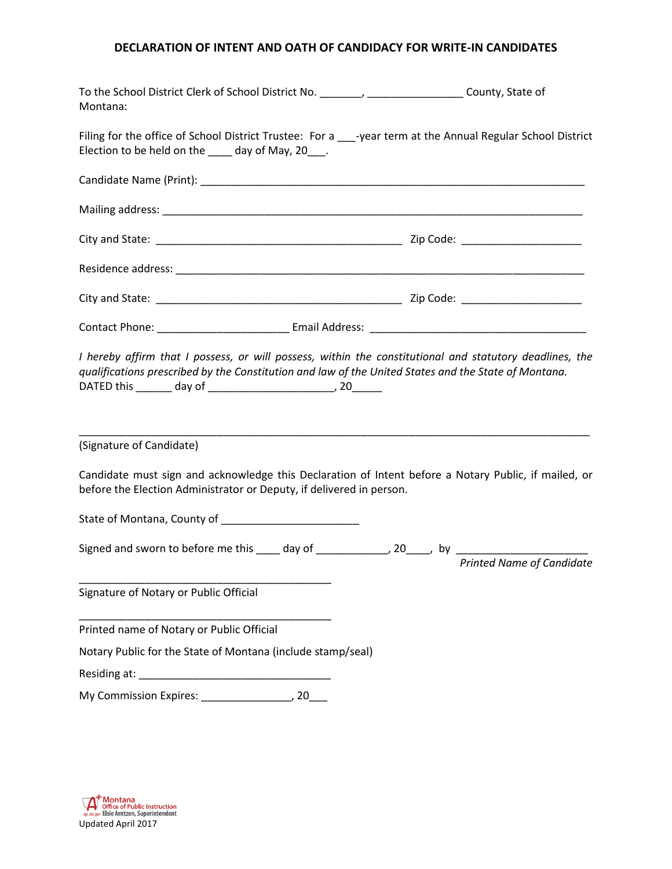## **DECLARATION OF INTENT AND OATH OF CANDIDACY FOR WRITE-IN CANDIDATES**

| To the School District Clerk of School District No. ________, ___________________County, State of<br>Montana:                                                     |                           |
|-------------------------------------------------------------------------------------------------------------------------------------------------------------------|---------------------------|
| Filing for the office of School District Trustee: For a ___-year term at the Annual Regular School District<br>Election to be held on the ____ day of May, 20___. |                           |
|                                                                                                                                                                   |                           |
|                                                                                                                                                                   |                           |
|                                                                                                                                                                   |                           |
|                                                                                                                                                                   |                           |
|                                                                                                                                                                   |                           |
|                                                                                                                                                                   |                           |
| (Signature of Candidate)<br>Candidate must sign and acknowledge this Declaration of Intent before a Notary Public, if mailed, or                                  |                           |
| before the Election Administrator or Deputy, if delivered in person.                                                                                              |                           |
| State of Montana, County of Manuscripture and Manuscripture and Manuscripture and Manuscripture and Manuscripture                                                 |                           |
| Signed and sworn to before me this _____ day of ______________, 20____, by ________________________                                                               | Printed Name of Candidate |
| Signature of Notary or Public Official                                                                                                                            |                           |
| Printed name of Notary or Public Official                                                                                                                         |                           |
| Notary Public for the State of Montana (include stamp/seal)                                                                                                       |                           |
|                                                                                                                                                                   |                           |
|                                                                                                                                                                   |                           |